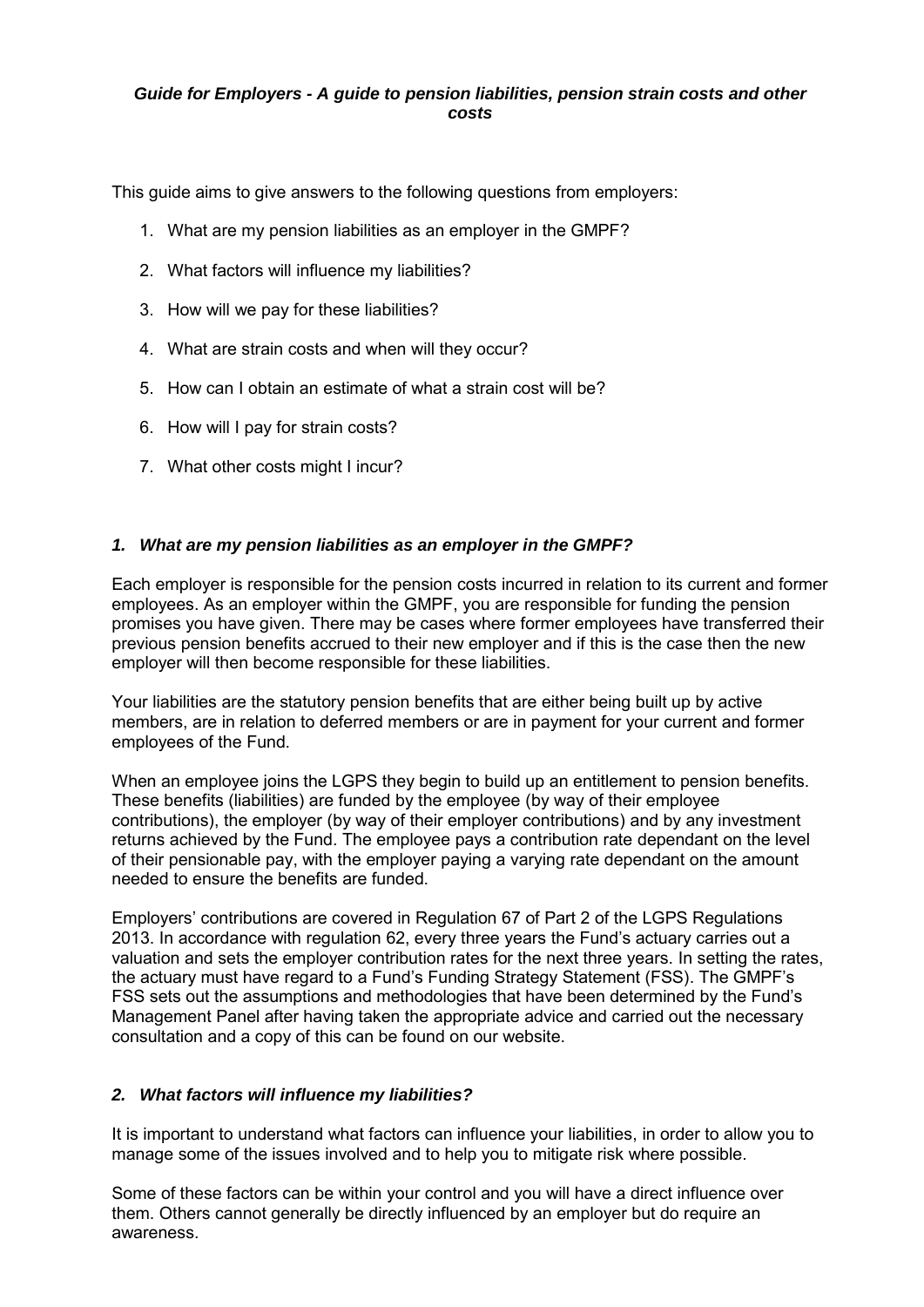#### *Guide for Employers - A guide to pension liabilities, pension strain costs and other costs*

This guide aims to give answers to the following questions from employers:

- 1. What are my pension liabilities as an employer in the GMPF?
- 2. What factors will influence my liabilities?
- 3. How will we pay for these liabilities?
- 4. What are strain costs and when will they occur?
- 5. How can I obtain an estimate of what a strain cost will be?
- 6. How will I pay for strain costs?
- 7. What other costs might I incur?

### *1. What are my pension liabilities as an employer in the GMPF?*

Each employer is responsible for the pension costs incurred in relation to its current and former employees. As an employer within the GMPF, you are responsible for funding the pension promises you have given. There may be cases where former employees have transferred their previous pension benefits accrued to their new employer and if this is the case then the new employer will then become responsible for these liabilities.

Your liabilities are the statutory pension benefits that are either being built up by active members, are in relation to deferred members or are in payment for your current and former employees of the Fund.

When an employee joins the LGPS they begin to build up an entitlement to pension benefits. These benefits (liabilities) are funded by the employee (by way of their employee contributions), the employer (by way of their employer contributions) and by any investment returns achieved by the Fund. The employee pays a contribution rate dependant on the level of their pensionable pay, with the employer paying a varying rate dependant on the amount needed to ensure the benefits are funded.

Employers' contributions are covered in Regulation 67 of Part 2 of the LGPS Regulations 2013. In accordance with regulation 62, every three years the Fund's actuary carries out a valuation and sets the employer contribution rates for the next three years. In setting the rates, the actuary must have regard to a Fund's Funding Strategy Statement (FSS). The GMPF's FSS sets out the assumptions and methodologies that have been determined by the Fund's Management Panel after having taken the appropriate advice and carried out the necessary consultation and a copy of this can be found on our website.

### *2. What factors will influence my liabilities?*

It is important to understand what factors can influence your liabilities, in order to allow you to manage some of the issues involved and to help you to mitigate risk where possible.

Some of these factors can be within your control and you will have a direct influence over them. Others cannot generally be directly influenced by an employer but do require an awareness.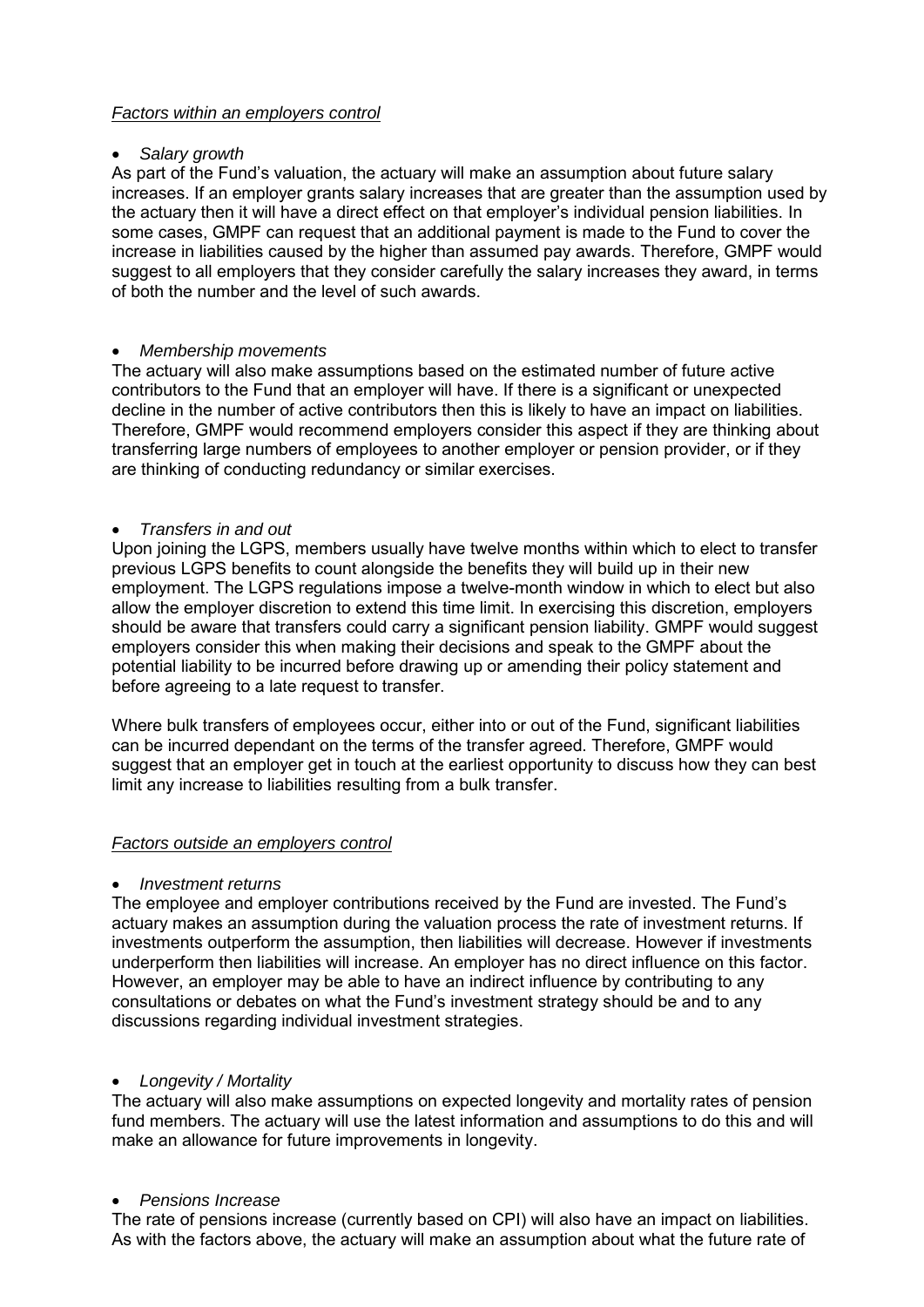# *Factors within an employers control*

### *Salary growth*

As part of the Fund's valuation, the actuary will make an assumption about future salary increases. If an employer grants salary increases that are greater than the assumption used by the actuary then it will have a direct effect on that employer's individual pension liabilities. In some cases, GMPF can request that an additional payment is made to the Fund to cover the increase in liabilities caused by the higher than assumed pay awards. Therefore, GMPF would suggest to all employers that they consider carefully the salary increases they award, in terms of both the number and the level of such awards.

#### *Membership movements*

The actuary will also make assumptions based on the estimated number of future active contributors to the Fund that an employer will have. If there is a significant or unexpected decline in the number of active contributors then this is likely to have an impact on liabilities. Therefore, GMPF would recommend employers consider this aspect if they are thinking about transferring large numbers of employees to another employer or pension provider, or if they are thinking of conducting redundancy or similar exercises.

#### *Transfers in and out*

Upon joining the LGPS, members usually have twelve months within which to elect to transfer previous LGPS benefits to count alongside the benefits they will build up in their new employment. The LGPS regulations impose a twelve-month window in which to elect but also allow the employer discretion to extend this time limit. In exercising this discretion, employers should be aware that transfers could carry a significant pension liability. GMPF would suggest employers consider this when making their decisions and speak to the GMPF about the potential liability to be incurred before drawing up or amending their policy statement and before agreeing to a late request to transfer.

Where bulk transfers of employees occur, either into or out of the Fund, significant liabilities can be incurred dependant on the terms of the transfer agreed. Therefore, GMPF would suggest that an employer get in touch at the earliest opportunity to discuss how they can best limit any increase to liabilities resulting from a bulk transfer.

### *Factors outside an employers control*

#### *Investment returns*

The employee and employer contributions received by the Fund are invested. The Fund's actuary makes an assumption during the valuation process the rate of investment returns. If investments outperform the assumption, then liabilities will decrease. However if investments underperform then liabilities will increase. An employer has no direct influence on this factor. However, an employer may be able to have an indirect influence by contributing to any consultations or debates on what the Fund's investment strategy should be and to any discussions regarding individual investment strategies.

### *Longevity / Mortality*

The actuary will also make assumptions on expected longevity and mortality rates of pension fund members. The actuary will use the latest information and assumptions to do this and will make an allowance for future improvements in longevity.

### *Pensions Increase*

The rate of pensions increase (currently based on CPI) will also have an impact on liabilities. As with the factors above, the actuary will make an assumption about what the future rate of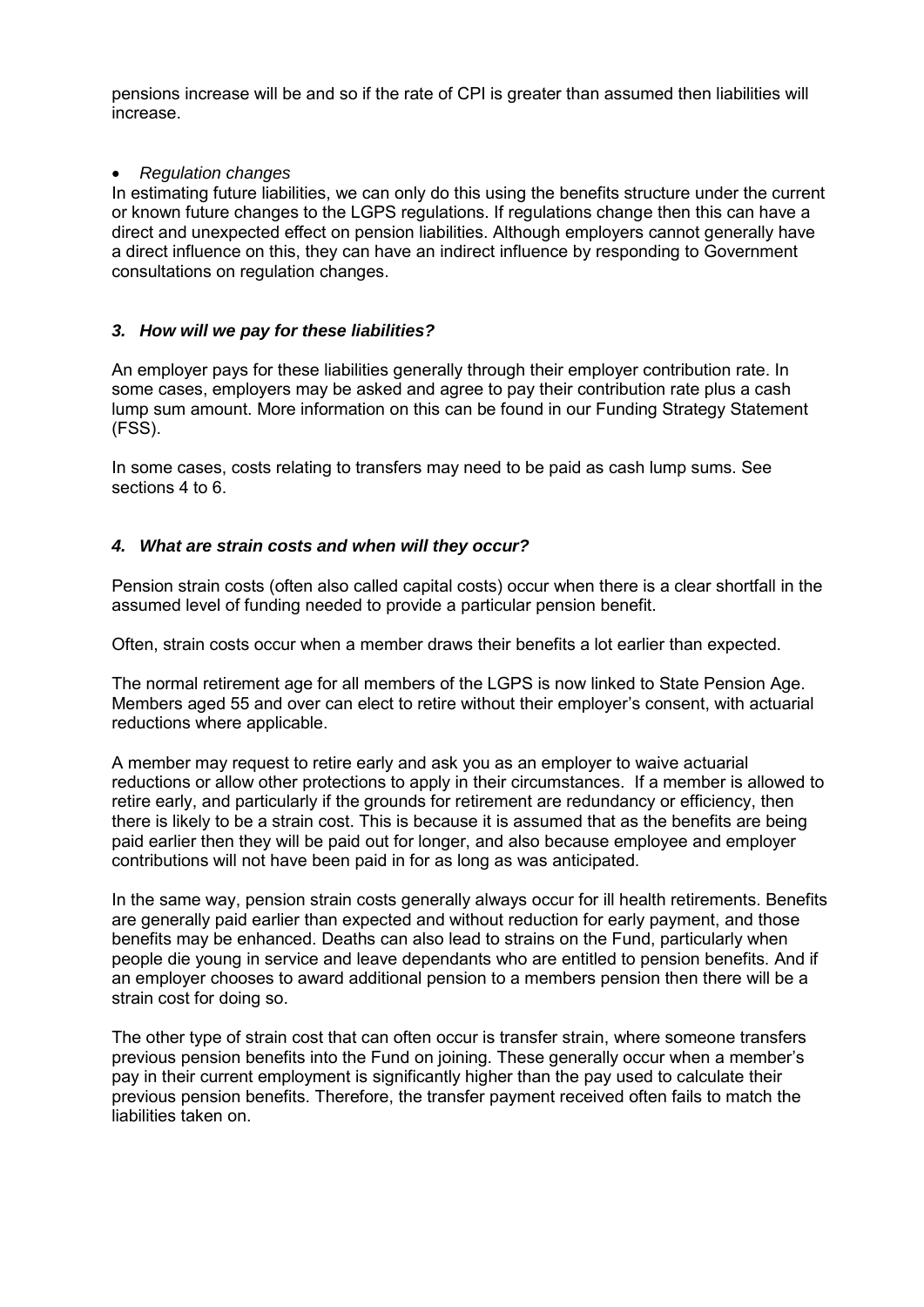pensions increase will be and so if the rate of CPI is greater than assumed then liabilities will increase.

### *Regulation changes*

In estimating future liabilities, we can only do this using the benefits structure under the current or known future changes to the LGPS regulations. If regulations change then this can have a direct and unexpected effect on pension liabilities. Although employers cannot generally have a direct influence on this, they can have an indirect influence by responding to Government consultations on regulation changes.

# *3. How will we pay for these liabilities?*

An employer pays for these liabilities generally through their employer contribution rate. In some cases, employers may be asked and agree to pay their contribution rate plus a cash lump sum amount. More information on this can be found in our Funding Strategy Statement (FSS).

In some cases, costs relating to transfers may need to be paid as cash lump sums. See sections 4 to 6.

# *4. What are strain costs and when will they occur?*

Pension strain costs (often also called capital costs) occur when there is a clear shortfall in the assumed level of funding needed to provide a particular pension benefit.

Often, strain costs occur when a member draws their benefits a lot earlier than expected.

The normal retirement age for all members of the LGPS is now linked to State Pension Age. Members aged 55 and over can elect to retire without their employer's consent, with actuarial reductions where applicable.

A member may request to retire early and ask you as an employer to waive actuarial reductions or allow other protections to apply in their circumstances. If a member is allowed to retire early, and particularly if the grounds for retirement are redundancy or efficiency, then there is likely to be a strain cost. This is because it is assumed that as the benefits are being paid earlier then they will be paid out for longer, and also because employee and employer contributions will not have been paid in for as long as was anticipated.

In the same way, pension strain costs generally always occur for ill health retirements. Benefits are generally paid earlier than expected and without reduction for early payment, and those benefits may be enhanced. Deaths can also lead to strains on the Fund, particularly when people die young in service and leave dependants who are entitled to pension benefits. And if an employer chooses to award additional pension to a members pension then there will be a strain cost for doing so.

The other type of strain cost that can often occur is transfer strain, where someone transfers previous pension benefits into the Fund on joining. These generally occur when a member's pay in their current employment is significantly higher than the pay used to calculate their previous pension benefits. Therefore, the transfer payment received often fails to match the liabilities taken on.